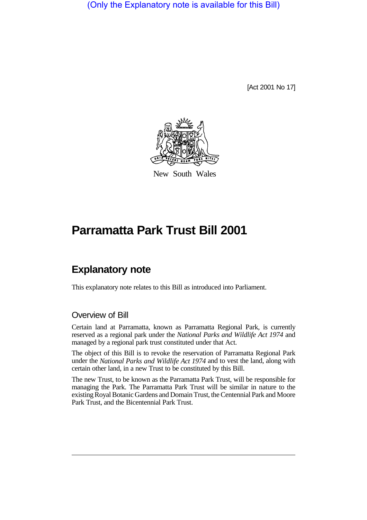(Only the Explanatory note is available for this Bill)

[Act 2001 No 17]



New South Wales

# **Parramatta Park Trust Bill 2001**

## **Explanatory note**

This explanatory note relates to this Bill as introduced into Parliament.

### Overview of Bill

Certain land at Parramatta, known as Parramatta Regional Park, is currently reserved as a regional park under the *National Parks and Wildlife Act 1974* and managed by a regional park trust constituted under that Act.

The object of this Bill is to revoke the reservation of Parramatta Regional Park under the *National Parks and Wildlife Act 1974* and to vest the land, along with certain other land, in a new Trust to be constituted by this Bill.

The new Trust, to be known as the Parramatta Park Trust, will be responsible for managing the Park. The Parramatta Park Trust will be similar in nature to the existing Royal Botanic Gardens and Domain Trust, the Centennial Park and Moore Park Trust, and the Bicentennial Park Trust.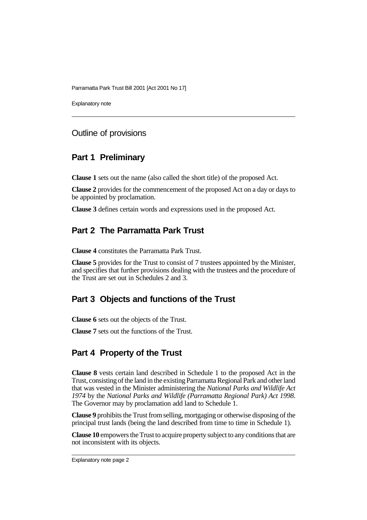Explanatory note

#### Outline of provisions

### **Part 1 Preliminary**

**Clause 1** sets out the name (also called the short title) of the proposed Act.

**Clause 2** provides for the commencement of the proposed Act on a day or days to be appointed by proclamation.

**Clause 3** defines certain words and expressions used in the proposed Act.

## **Part 2 The Parramatta Park Trust**

**Clause 4** constitutes the Parramatta Park Trust.

**Clause 5** provides for the Trust to consist of 7 trustees appointed by the Minister, and specifies that further provisions dealing with the trustees and the procedure of the Trust are set out in Schedules 2 and 3.

## **Part 3 Objects and functions of the Trust**

**Clause 6** sets out the objects of the Trust.

**Clause 7** sets out the functions of the Trust.

## **Part 4 Property of the Trust**

**Clause 8** vests certain land described in Schedule 1 to the proposed Act in the Trust, consisting of the land in the existing Parramatta Regional Park and other land that was vested in the Minister administering the *National Parks and Wildlife Act 1974* by the *National Parks and Wildlife (Parramatta Regional Park) Act 1998*. The Governor may by proclamation add land to Schedule 1.

**Clause 9** prohibits the Trust from selling, mortgaging or otherwise disposing of the principal trust lands (being the land described from time to time in Schedule 1).

**Clause 10** empowers the Trust to acquire property subject to any conditions that are not inconsistent with its objects.

Explanatory note page 2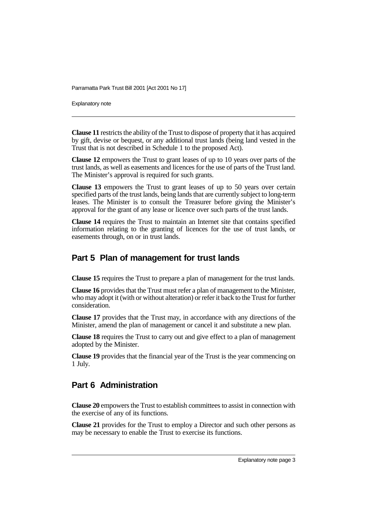Explanatory note

**Clause 11** restricts the ability of the Trust to dispose of property that it has acquired by gift, devise or bequest, or any additional trust lands (being land vested in the Trust that is not described in Schedule 1 to the proposed Act).

**Clause 12** empowers the Trust to grant leases of up to 10 years over parts of the trust lands, as well as easements and licences for the use of parts of the Trust land. The Minister's approval is required for such grants.

**Clause 13** empowers the Trust to grant leases of up to 50 years over certain specified parts of the trust lands, being lands that are currently subject to long-term leases. The Minister is to consult the Treasurer before giving the Minister's approval for the grant of any lease or licence over such parts of the trust lands.

**Clause 14** requires the Trust to maintain an Internet site that contains specified information relating to the granting of licences for the use of trust lands, or easements through, on or in trust lands.

## **Part 5 Plan of management for trust lands**

**Clause 15** requires the Trust to prepare a plan of management for the trust lands.

**Clause 16** provides that the Trust must refer a plan of management to the Minister, who may adopt it (with or without alteration) or refer it back to the Trust for further consideration.

**Clause 17** provides that the Trust may, in accordance with any directions of the Minister, amend the plan of management or cancel it and substitute a new plan.

**Clause 18** requires the Trust to carry out and give effect to a plan of management adopted by the Minister.

**Clause 19** provides that the financial year of the Trust is the year commencing on 1 July.

## **Part 6 Administration**

**Clause 20** empowers the Trust to establish committees to assist in connection with the exercise of any of its functions.

**Clause 21** provides for the Trust to employ a Director and such other persons as may be necessary to enable the Trust to exercise its functions.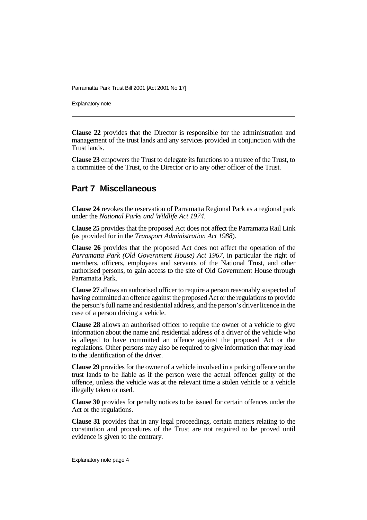Explanatory note

**Clause 22** provides that the Director is responsible for the administration and management of the trust lands and any services provided in conjunction with the Trust lands.

**Clause 23** empowers the Trust to delegate its functions to a trustee of the Trust, to a committee of the Trust, to the Director or to any other officer of the Trust.

#### **Part 7 Miscellaneous**

**Clause 24** revokes the reservation of Parramatta Regional Park as a regional park under the *National Parks and Wildlife Act 1974*.

**Clause 25** provides that the proposed Act does not affect the Parramatta Rail Link (as provided for in the *Transport Administration Act 1988*).

**Clause 26** provides that the proposed Act does not affect the operation of the *Parramatta Park (Old Government House) Act 1967*, in particular the right of members, officers, employees and servants of the National Trust, and other authorised persons, to gain access to the site of Old Government House through Parramatta Park.

**Clause 27** allows an authorised officer to require a person reasonably suspected of having committed an offence against the proposed Act or the regulations to provide the person's full name and residential address, and the person's driver licence in the case of a person driving a vehicle.

**Clause 28** allows an authorised officer to require the owner of a vehicle to give information about the name and residential address of a driver of the vehicle who is alleged to have committed an offence against the proposed Act or the regulations. Other persons may also be required to give information that may lead to the identification of the driver.

**Clause 29** provides for the owner of a vehicle involved in a parking offence on the trust lands to be liable as if the person were the actual offender guilty of the offence, unless the vehicle was at the relevant time a stolen vehicle or a vehicle illegally taken or used.

**Clause 30** provides for penalty notices to be issued for certain offences under the Act or the regulations.

**Clause 31** provides that in any legal proceedings, certain matters relating to the constitution and procedures of the Trust are not required to be proved until evidence is given to the contrary.